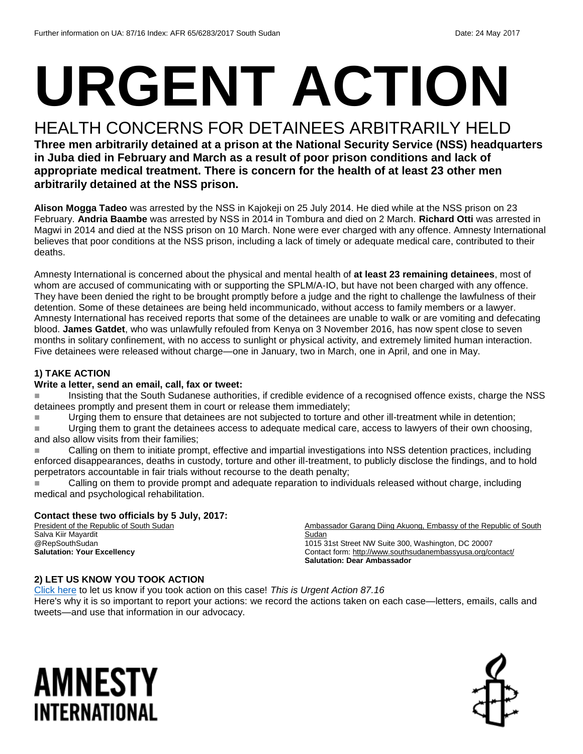# **URGENT ACTION**

#### HEALTH CONCERNS FOR DETAINEES ARBITRARILY HELD

**Three men arbitrarily detained at a prison at the National Security Service (NSS) headquarters in Juba died in February and March as a result of poor prison conditions and lack of appropriate medical treatment. There is concern for the health of at least 23 other men arbitrarily detained at the NSS prison.** 

**Alison Mogga Tadeo** was arrested by the NSS in Kajokeji on 25 July 2014. He died while at the NSS prison on 23 February. **Andria Baambe** was arrested by NSS in 2014 in Tombura and died on 2 March. **Richard Otti** was arrested in Magwi in 2014 and died at the NSS prison on 10 March. None were ever charged with any offence. Amnesty International believes that poor conditions at the NSS prison, including a lack of timely or adequate medical care, contributed to their deaths.

Amnesty International is concerned about the physical and mental health of **at least 23 remaining detainees**, most of whom are accused of communicating with or supporting the SPLM/A-IO, but have not been charged with any offence. They have been denied the right to be brought promptly before a judge and the right to challenge the lawfulness of their detention. Some of these detainees are being held incommunicado, without access to family members or a lawyer. Amnesty International has received reports that some of the detainees are unable to walk or are vomiting and defecating blood. **James Gatdet**, who was unlawfully refouled from Kenya on 3 November 2016, has now spent close to seven months in solitary confinement, with no access to sunlight or physical activity, and extremely limited human interaction. Five detainees were released without charge—one in January, two in March, one in April, and one in May.

#### **1) TAKE ACTION**

#### **Write a letter, send an email, call, fax or tweet:**

 Insisting that the South Sudanese authorities, if credible evidence of a recognised offence exists, charge the NSS detainees promptly and present them in court or release them immediately;

Urging them to ensure that detainees are not subjected to torture and other ill-treatment while in detention;

Urging them to grant the detainees access to adequate medical care, access to lawyers of their own choosing, and also allow visits from their families;

**Calling on them to initiate prompt, effective and impartial investigations into NSS detention practices, including** enforced disappearances, deaths in custody, torture and other ill-treatment, to publicly disclose the findings, and to hold perpetrators accountable in fair trials without recourse to the death penalty;

Calling on them to provide prompt and adequate reparation to individuals released without charge, including medical and psychological rehabilitation.

#### **Contact these two officials by 5 July, 2017:**

President of the Republic of South Sudan Salva Kiir Mayardit @RepSouthSudan **Salutation: Your Excellency**

Ambassador Garang Diing Akuong, Embassy of the Republic of South **Sudan** 1015 31st Street NW Suite 300, Washington, DC 20007 Contact form[: http://www.southsudanembassyusa.org/contact/](http://www.southsudanembassyusa.org/contact/) **Salutation: Dear Ambassador**

#### **2) LET US KNOW YOU TOOK ACTION**

[Click here](https://docs.google.com/forms/d/e/1FAIpQLSf3RUspces4lA9Gt7Fp9GiAcojCs6fnfFOTCLli3Su6c3S8ew/viewform) to let us know if you took action on this case! *This is Urgent Action 87.16* Here's why it is so important to report your actions: we record the actions taken on each case—letters, emails, calls and tweets—and use that information in our advocacy.

## AMNESTY INTERNATIONAL